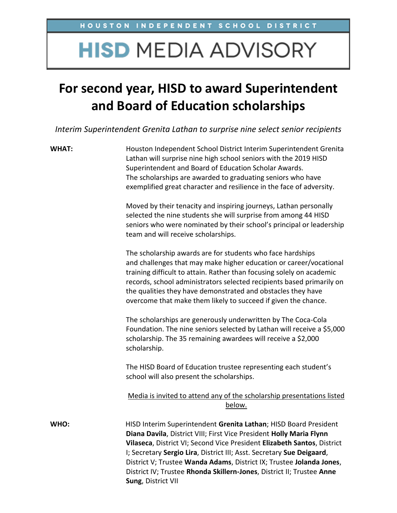# **HISD MEDIA ADVISORY**

## **For second year, HISD to award Superintendent and Board of Education scholarships**

*Interim Superintendent Grenita Lathan to surprise nine select senior recipients*

**WHAT:** Houston Independent School District Interim Superintendent Grenita Lathan will surprise nine high school seniors with the 2019 HISD Superintendent and Board of Education Scholar Awards. The scholarships are awarded to graduating seniors who have exemplified great character and resilience in the face of adversity.

> Moved by their tenacity and inspiring journeys, Lathan personally selected the nine students she will surprise from among 44 HISD seniors who were nominated by their school's principal or leadership team and will receive scholarships.

> The scholarship awards are for students who face hardships and challenges that may make higher education or career/vocational training difficult to attain. Rather than focusing solely on academic records, school administrators selected recipients based primarily on the qualities they have demonstrated and obstacles they have overcome that make them likely to succeed if given the chance.

> The scholarships are generously underwritten by The Coca-Cola Foundation. The nine seniors selected by Lathan will receive a \$5,000 scholarship. The 35 remaining awardees will receive a \$2,000 scholarship.

The HISD Board of Education trustee representing each student's school will also present the scholarships.

### Media is invited to attend any of the scholarship presentations listed below.

**WHO:** HISD Interim Superintendent **Grenita Lathan**; HISD Board President **Diana Davila**, District VIII; First Vice President **Holly Maria Flynn Vilaseca**, District VI; Second Vice President **Elizabeth Santos**, District I; Secretary **Sergio Lira**, District III; Asst. Secretary **Sue Deigaard**, District V; Trustee **Wanda Adams**, District IX; Trustee **Jolanda Jones**, District IV; Trustee **Rhonda Skillern-Jones**, District II; Trustee **Anne Sung**, District VII